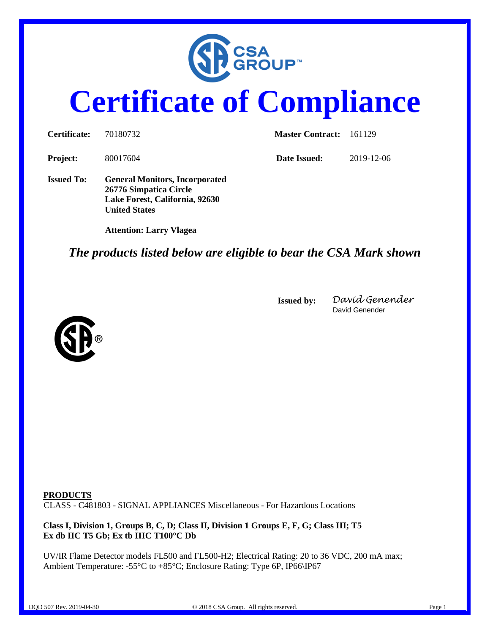

## **Certificate of Compliance**

| Certificate:      | 70180732                                                                                                                  | <b>Master Contract:</b> | 161129     |
|-------------------|---------------------------------------------------------------------------------------------------------------------------|-------------------------|------------|
| <b>Project:</b>   | 80017604                                                                                                                  | Date Issued:            | 2019-12-06 |
| <b>Issued To:</b> | <b>General Monitors, Incorporated</b><br>26776 Simpatica Circle<br>Lake Forest, California, 92630<br><b>United States</b> |                         |            |
|                   | <b>Attention: Larry Vlagea</b>                                                                                            |                         |            |

## *The products listed below are eligible to bear the CSA Mark shown*

**Issued by:** *David Genender* David Genender



**PRODUCTS** CLASS - C481803 - SIGNAL APPLIANCES Miscellaneous - For Hazardous Locations

**Class I, Division 1, Groups B, C, D; Class II, Division 1 Groups E, F, G; Class III; T5 Ex db IIC T5 Gb; Ex tb IIIC T100°C Db** 

UV/IR Flame Detector models FL500 and FL500-H2; Electrical Rating: 20 to 36 VDC, 200 mA max; Ambient Temperature: -55°C to +85°C; Enclosure Rating: Type 6P, IP66\IP67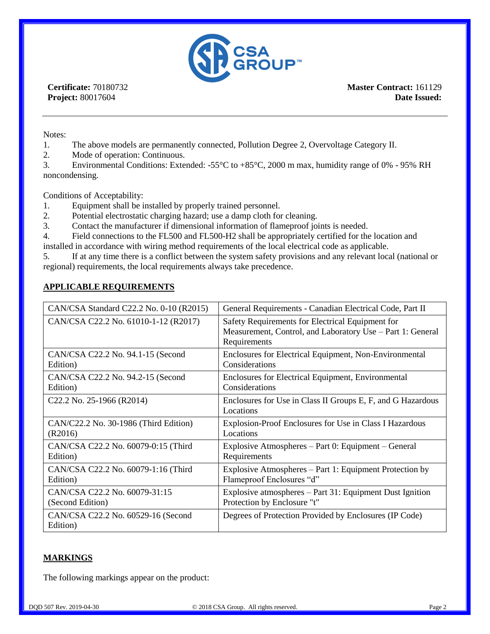

**Certificate:** 70180732 **Project:** 80017604

**Master Contract:** 161129 **Date Issued:** 

Notes:

- 1. The above models are permanently connected, Pollution Degree 2, Overvoltage Category II.
- 2. Mode of operation: Continuous.

3. Environmental Conditions: Extended: -55°C to +85°C, 2000 m max, humidity range of 0% - 95% RH noncondensing.

Conditions of Acceptability:

- 1. Equipment shall be installed by properly trained personnel.
- 2. Potential electrostatic charging hazard; use a damp cloth for cleaning.
- 3. Contact the manufacturer if dimensional information of flameproof joints is needed.

4. Field connections to the FL500 and FL500-H2 shall be appropriately certified for the location and

installed in accordance with wiring method requirements of the local electrical code as applicable.

5. If at any time there is a conflict between the system safety provisions and any relevant local (national or regional) requirements, the local requirements always take precedence.

## **APPLICABLE REQUIREMENTS**

| CAN/CSA Standard C22.2 No. 0-10 (R2015)        | General Requirements - Canadian Electrical Code, Part II                                                                       |  |
|------------------------------------------------|--------------------------------------------------------------------------------------------------------------------------------|--|
| CAN/CSA C22.2 No. 61010-1-12 (R2017)           | Safety Requirements for Electrical Equipment for<br>Measurement, Control, and Laboratory Use – Part 1: General<br>Requirements |  |
| CAN/CSA C22.2 No. 94.1-15 (Second              | Enclosures for Electrical Equipment, Non-Environmental                                                                         |  |
| Edition)                                       | Considerations                                                                                                                 |  |
| CAN/CSA C22.2 No. 94.2-15 (Second              | Enclosures for Electrical Equipment, Environmental                                                                             |  |
| Edition)                                       | Considerations                                                                                                                 |  |
| C22.2 No. 25-1966 (R2014)                      | Enclosures for Use in Class II Groups E, F, and G Hazardous<br>Locations                                                       |  |
| CAN/C22.2 No. 30-1986 (Third Edition)          | Explosion-Proof Enclosures for Use in Class I Hazardous                                                                        |  |
| (R2016)                                        | Locations                                                                                                                      |  |
| CAN/CSA C22.2 No. 60079-0:15 (Third            | Explosive Atmospheres – Part 0: Equipment – General                                                                            |  |
| Edition)                                       | Requirements                                                                                                                   |  |
| CAN/CSA C22.2 No. 60079-1:16 (Third            | Explosive Atmospheres – Part 1: Equipment Protection by                                                                        |  |
| Edition)                                       | Flameproof Enclosures "d"                                                                                                      |  |
| CAN/CSA C22.2 No. 60079-31:15                  | Explosive atmospheres – Part 31: Equipment Dust Ignition                                                                       |  |
| (Second Edition)                               | Protection by Enclosure "t"                                                                                                    |  |
| CAN/CSA C22.2 No. 60529-16 (Second<br>Edition) | Degrees of Protection Provided by Enclosures (IP Code)                                                                         |  |

## **MARKINGS**

The following markings appear on the product: